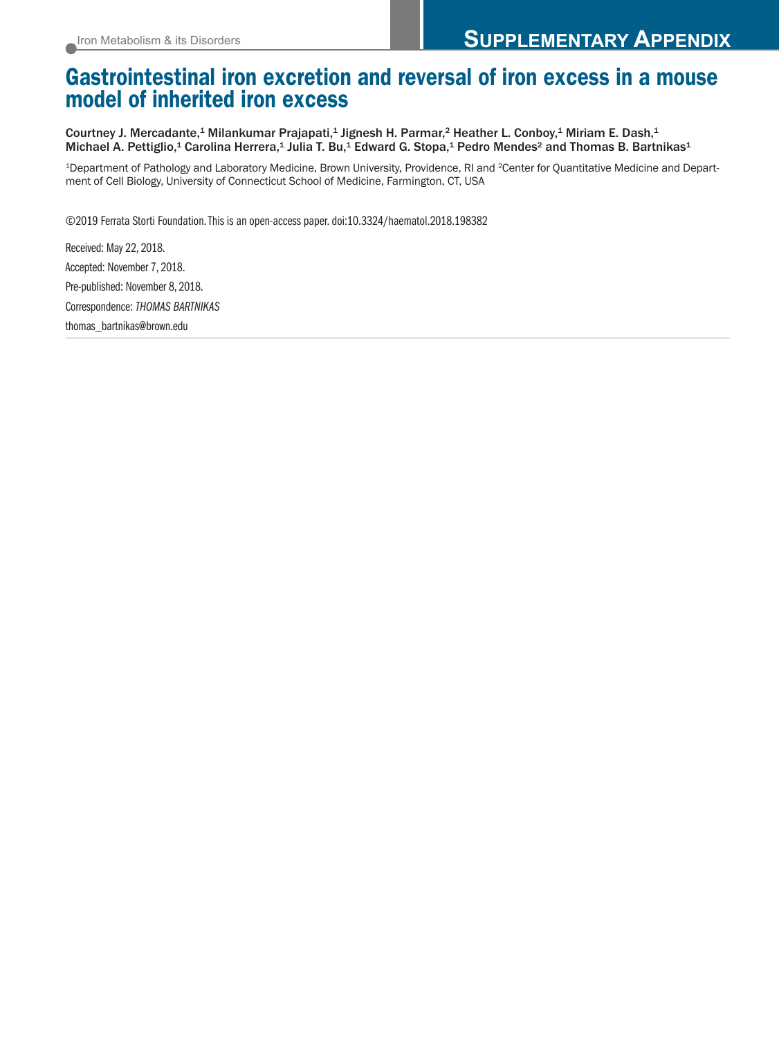# **Gastrointestinal iron excretion and reversal of iron excess in a mouse model of inherited iron excess**

Courtney J. Mercadante,<sup>1</sup> Milankumar Prajapati,<sup>1</sup> Jignesh H. Parmar,<sup>2</sup> Heather L. Conboy,<sup>1</sup> Miriam E. Dash,<sup>1</sup> Michael A. Pettiglio,<sup>1</sup> Carolina Herrera,<sup>1</sup> Julia T. Bu,<sup>1</sup> Edward G. Stopa,<sup>1</sup> Pedro Mendes<sup>2</sup> and Thomas B. Bartnikas<sup>1</sup>

<sup>1</sup>Department of Pathology and Laboratory Medicine, Brown University, Providence, RI and <sup>2</sup>Center for Quantitative Medicine and Department of Cell Biology, University of Connecticut School of Medicine, Farmington, CT, USA

©2019 Ferrata Storti Foundation.This is an open-access paper. doi:10.3324/haematol.2018.198382

Received: May 22, 2018. Accepted: November 7, 2018. Pre-published: November 8, 2018. Correspondence: *THOMAS BARTNIKAS* thomas\_bartnikas@brown.edu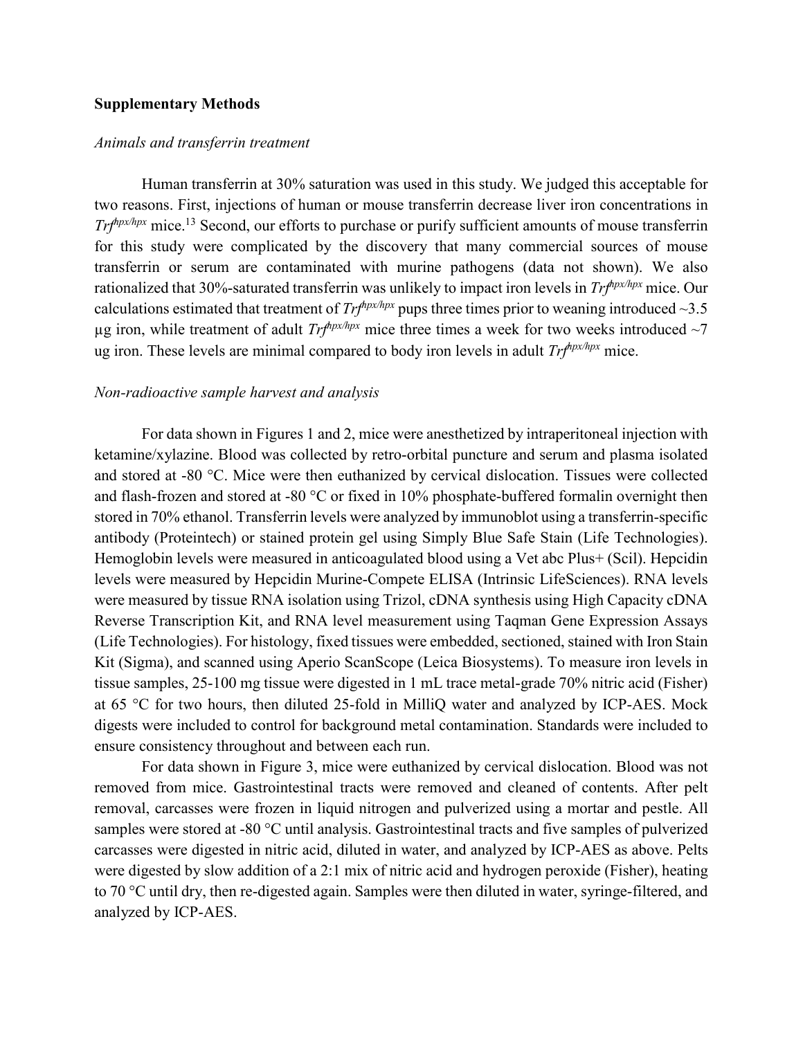### **Supplementary Methods**

#### *Animals and transferrin treatment*

Human transferrin at 30% saturation was used in this study. We judged this acceptable for two reasons. First, injections of human or mouse transferrin decrease liver iron concentrations in *Trf<sup>hpx/hpx</sup>* mice.<sup>13</sup> Second, our efforts to purchase or purify sufficient amounts of mouse transferrin for this study were complicated by the discovery that many commercial sources of mouse transferrin or serum are contaminated with murine pathogens (data not shown). We also rationalized that 30%-saturated transferrin was unlikely to impact iron levels in *Trfhpx/hpx* mice. Our calculations estimated that treatment of  $Trf^{hpx/hpx}$  pups three times prior to weaning introduced ~3.5 µg iron, while treatment of adult  $Trf^{hpx/hpx}$  mice three times a week for two weeks introduced  $\sim$ 7 ug iron. These levels are minimal compared to body iron levels in adult *Trfhpx/hpx* mice.

### *Non-radioactive sample harvest and analysis*

For data shown in Figures 1 and 2, mice were anesthetized by intraperitoneal injection with ketamine/xylazine. Blood was collected by retro-orbital puncture and serum and plasma isolated and stored at -80 °C. Mice were then euthanized by cervical dislocation. Tissues were collected and flash-frozen and stored at -80 °C or fixed in 10% phosphate-buffered formalin overnight then stored in 70% ethanol. Transferrin levels were analyzed by immunoblot using a transferrin-specific antibody (Proteintech) or stained protein gel using Simply Blue Safe Stain (Life Technologies). Hemoglobin levels were measured in anticoagulated blood using a Vet abc Plus+ (Scil). Hepcidin levels were measured by Hepcidin Murine-Compete ELISA (Intrinsic LifeSciences). RNA levels were measured by tissue RNA isolation using Trizol, cDNA synthesis using High Capacity cDNA Reverse Transcription Kit, and RNA level measurement using Taqman Gene Expression Assays (Life Technologies). For histology, fixed tissues were embedded, sectioned, stained with Iron Stain Kit (Sigma), and scanned using Aperio ScanScope (Leica Biosystems). To measure iron levels in tissue samples, 25-100 mg tissue were digested in 1 mL trace metal-grade 70% nitric acid (Fisher) at 65 °C for two hours, then diluted 25-fold in MilliQ water and analyzed by ICP-AES. Mock digests were included to control for background metal contamination. Standards were included to ensure consistency throughout and between each run.

For data shown in Figure 3, mice were euthanized by cervical dislocation. Blood was not removed from mice. Gastrointestinal tracts were removed and cleaned of contents. After pelt removal, carcasses were frozen in liquid nitrogen and pulverized using a mortar and pestle. All samples were stored at -80 °C until analysis. Gastrointestinal tracts and five samples of pulverized carcasses were digested in nitric acid, diluted in water, and analyzed by ICP-AES as above. Pelts were digested by slow addition of a 2:1 mix of nitric acid and hydrogen peroxide (Fisher), heating to 70 °C until dry, then re-digested again. Samples were then diluted in water, syringe-filtered, and analyzed by ICP-AES.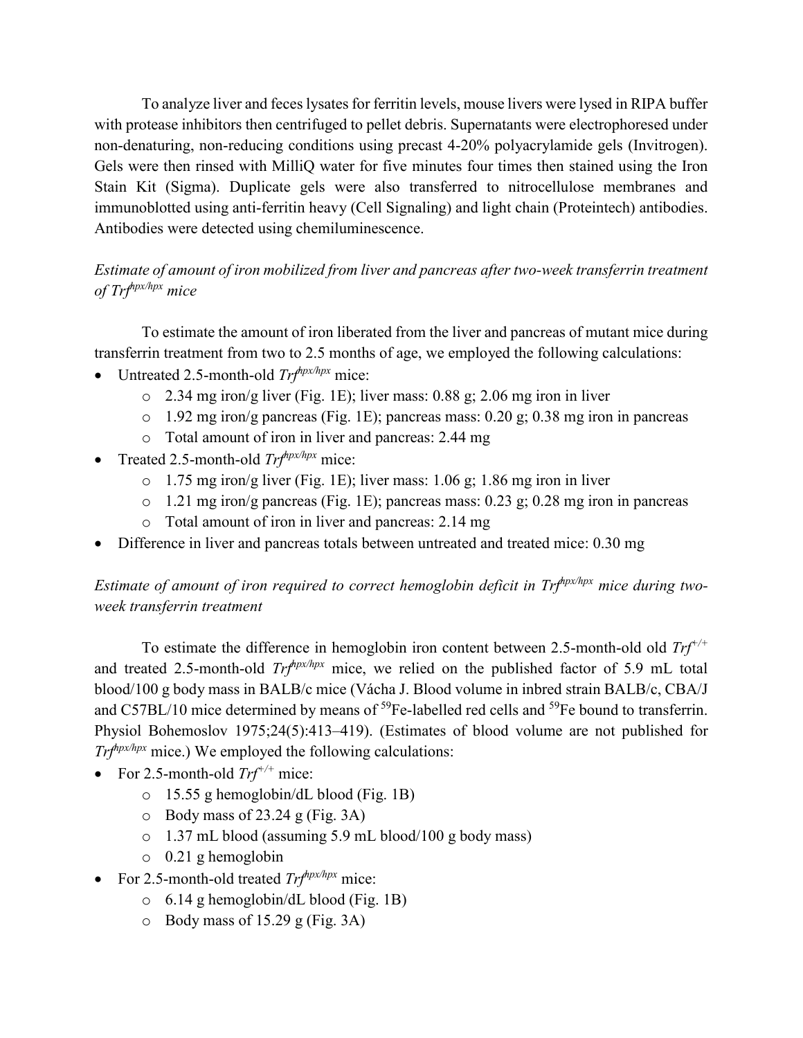To analyze liver and feces lysates for ferritin levels, mouse livers were lysed in RIPA buffer with protease inhibitors then centrifuged to pellet debris. Supernatants were electrophoresed under non-denaturing, non-reducing conditions using precast 4-20% polyacrylamide gels (Invitrogen). Gels were then rinsed with MilliQ water for five minutes four times then stained using the Iron Stain Kit (Sigma). Duplicate gels were also transferred to nitrocellulose membranes and immunoblotted using anti-ferritin heavy (Cell Signaling) and light chain (Proteintech) antibodies. Antibodies were detected using chemiluminescence.

# *Estimate of amount of iron mobilized from liver and pancreas after two-week transferrin treatment of Trfhpx/hpx mice*

To estimate the amount of iron liberated from the liver and pancreas of mutant mice during transferrin treatment from two to 2.5 months of age, we employed the following calculations:

- Untreated 2.5-month-old *Trfhpx/hpx* mice:
	- o 2.34 mg iron/g liver (Fig. 1E); liver mass: 0.88 g; 2.06 mg iron in liver
	- o 1.92 mg iron/g pancreas (Fig. 1E); pancreas mass: 0.20 g; 0.38 mg iron in pancreas
	- o Total amount of iron in liver and pancreas: 2.44 mg
- Treated 2.5-month-old *Trfhpx/hpx* mice:
	- $\circ$  1.75 mg iron/g liver (Fig. 1E); liver mass: 1.06 g; 1.86 mg iron in liver
	- o 1.21 mg iron/g pancreas (Fig. 1E); pancreas mass: 0.23 g; 0.28 mg iron in pancreas
	- o Total amount of iron in liver and pancreas: 2.14 mg
- Difference in liver and pancreas totals between untreated and treated mice: 0.30 mg

*Estimate of amount of iron required to correct hemoglobin deficit in Trfhpx/hpx mice during twoweek transferrin treatment*

To estimate the difference in hemoglobin iron content between 2.5-month-old old *Trf+/+* and treated 2.5-month-old *Trfhpx/hpx* mice, we relied on the published factor of 5.9 mL total blood/100 g body mass in BALB/c mice (Vácha J. Blood volume in inbred strain BALB/c, CBA/J and C57BL/10 mice determined by means of <sup>59</sup>Fe-labelled red cells and <sup>59</sup>Fe bound to transferrin. Physiol Bohemoslov 1975;24(5):413–419). (Estimates of blood volume are not published for *Trfhpx/hpx* mice.) We employed the following calculations:

- For 2.5-month-old *Trf+/+* mice:
	- o 15.55 g hemoglobin/dL blood (Fig. 1B)
	- $\circ$  Body mass of 23.24 g (Fig. 3A)
	- o 1.37 mL blood (assuming 5.9 mL blood/100 g body mass)
	- o 0.21 g hemoglobin
- For 2.5-month-old treated *Trfhpx/hpx* mice:
	- o 6.14 g hemoglobin/dL blood (Fig. 1B)
	- $\circ$  Body mass of 15.29 g (Fig. 3A)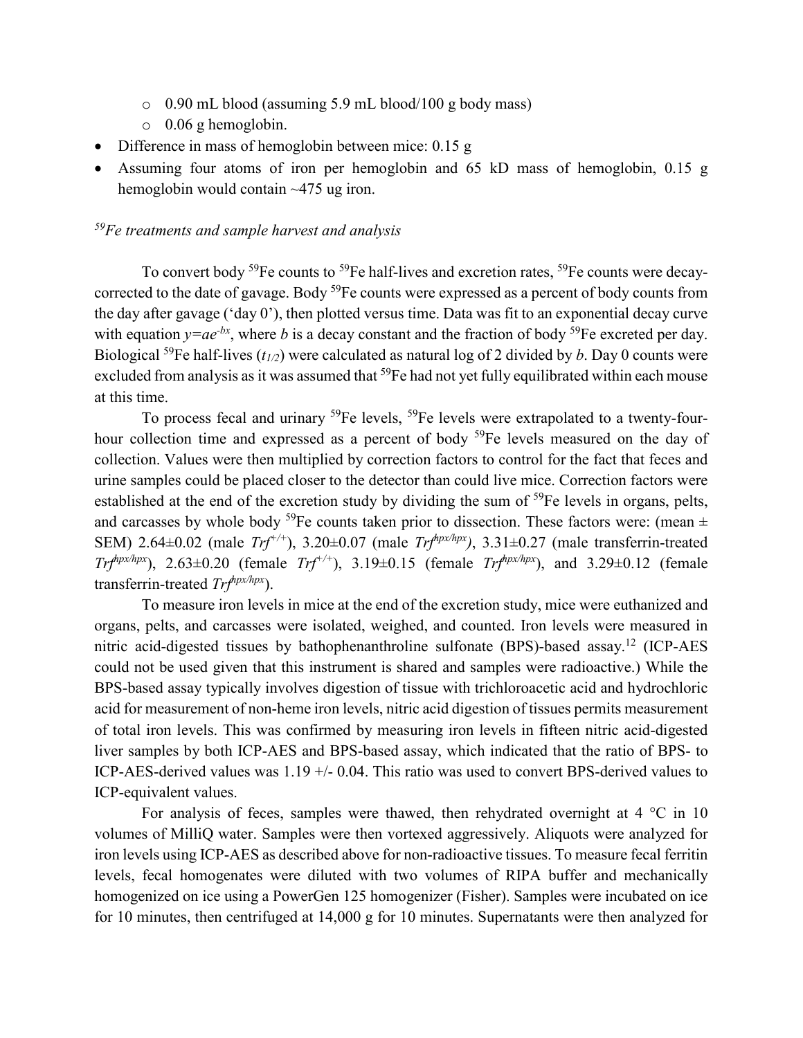- o 0.90 mL blood (assuming 5.9 mL blood/100 g body mass)
- o 0.06 g hemoglobin.
- Difference in mass of hemoglobin between mice: 0.15 g
- Assuming four atoms of iron per hemoglobin and 65 kD mass of hemoglobin, 0.15 g hemoglobin would contain ~475 ug iron.

# *59Fe treatments and sample harvest and analysis*

To convert body <sup>59</sup>Fe counts to <sup>59</sup>Fe half-lives and excretion rates, <sup>59</sup>Fe counts were decaycorrected to the date of gavage. Body  $^{59}$ Fe counts were expressed as a percent of body counts from the day after gavage ('day 0'), then plotted versus time. Data was fit to an exponential decay curve with equation  $y=ae^{-bx}$ , where *b* is a decay constant and the fraction of body <sup>59</sup>Fe excreted per day. Biological <sup>59</sup>Fe half-lives ( $t_{1/2}$ ) were calculated as natural log of 2 divided by *b*. Day 0 counts were excluded from analysis as it was assumed that <sup>59</sup>Fe had not yet fully equilibrated within each mouse at this time.

To process fecal and urinary <sup>59</sup>Fe levels, <sup>59</sup>Fe levels were extrapolated to a twenty-fourhour collection time and expressed as a percent of body <sup>59</sup>Fe levels measured on the day of collection. Values were then multiplied by correction factors to control for the fact that feces and urine samples could be placed closer to the detector than could live mice. Correction factors were established at the end of the excretion study by dividing the sum of <sup>59</sup>Fe levels in organs, pelts, and carcasses by whole body <sup>59</sup>Fe counts taken prior to dissection. These factors were: (mean  $\pm$ SEM) 2.64±0.02 (male *Trf+/+*), 3.20±0.07 (male *Trfhpx/hpx)*, 3.31±0.27 (male transferrin-treated *Trf<sup>hpx/hpx</sup>*), 2.63±0.20 (female *Trf<sup>+/+</sup>)*, 3.19±0.15 (female *Trf<sup>hpx/hpx</sup>*), and 3.29±0.12 (female transferrin-treated *Trfhpx/hpx*).

To measure iron levels in mice at the end of the excretion study, mice were euthanized and organs, pelts, and carcasses were isolated, weighed, and counted. Iron levels were measured in nitric acid-digested tissues by bathophenanthroline sulfonate (BPS)-based assay.12 (ICP-AES could not be used given that this instrument is shared and samples were radioactive.) While the BPS-based assay typically involves digestion of tissue with trichloroacetic acid and hydrochloric acid for measurement of non-heme iron levels, nitric acid digestion of tissues permits measurement of total iron levels. This was confirmed by measuring iron levels in fifteen nitric acid-digested liver samples by both ICP-AES and BPS-based assay, which indicated that the ratio of BPS- to ICP-AES-derived values was 1.19 +/- 0.04. This ratio was used to convert BPS-derived values to ICP-equivalent values.

For analysis of feces, samples were thawed, then rehydrated overnight at  $4 \degree C$  in 10 volumes of MilliQ water. Samples were then vortexed aggressively. Aliquots were analyzed for iron levels using ICP-AES as described above for non-radioactive tissues. To measure fecal ferritin levels, fecal homogenates were diluted with two volumes of RIPA buffer and mechanically homogenized on ice using a PowerGen 125 homogenizer (Fisher). Samples were incubated on ice for 10 minutes, then centrifuged at 14,000 g for 10 minutes. Supernatants were then analyzed for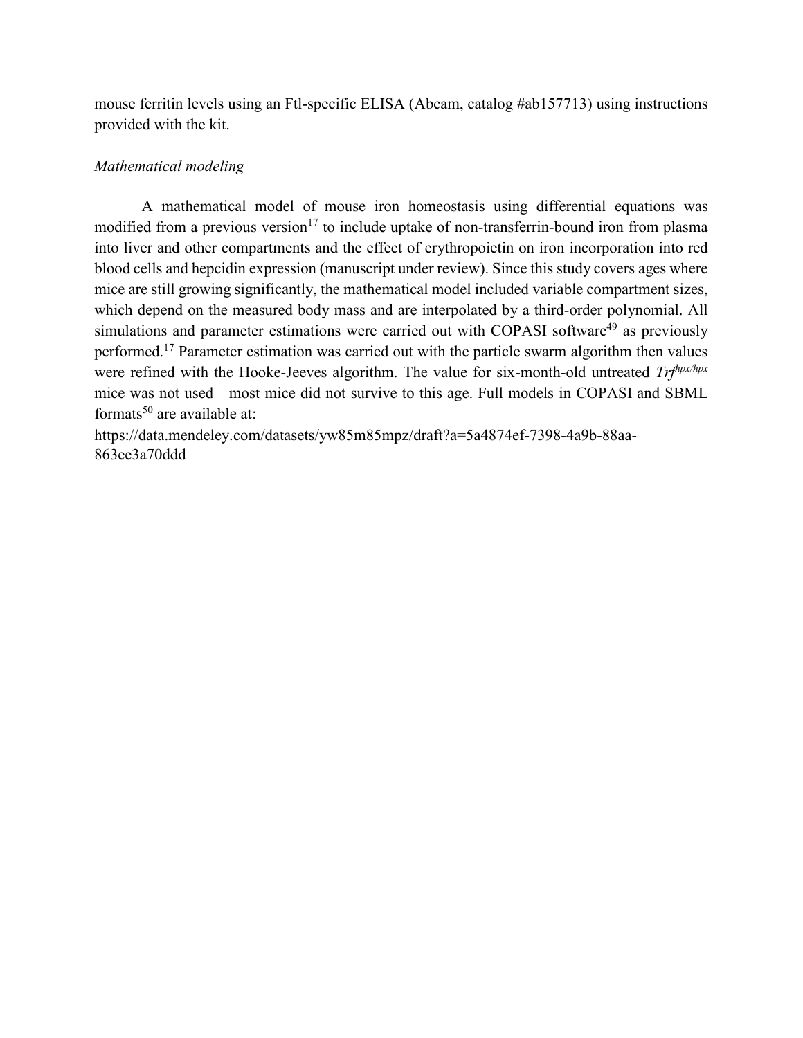mouse ferritin levels using an Ftl-specific ELISA (Abcam, catalog #ab157713) using instructions provided with the kit.

# *Mathematical modeling*

A mathematical model of mouse iron homeostasis using differential equations was modified from a previous version<sup>17</sup> to include uptake of non-transferrin-bound iron from plasma into liver and other compartments and the effect of erythropoietin on iron incorporation into red blood cells and hepcidin expression (manuscript under review). Since this study covers ages where mice are still growing significantly, the mathematical model included variable compartment sizes, which depend on the measured body mass and are interpolated by a third-order polynomial. All simulations and parameter estimations were carried out with COPASI software<sup>49</sup> as previously performed.<sup>17</sup> Parameter estimation was carried out with the particle swarm algorithm then values were refined with the Hooke-Jeeves algorithm. The value for six-month-old untreated *Trfhpx/hpx* mice was not used—most mice did not survive to this age. Full models in COPASI and SBML formats<sup>50</sup> are available at:

https://data.mendeley.com/datasets/yw85m85mpz/draft?a=5a4874ef-7398-4a9b-88aa-863ee3a70ddd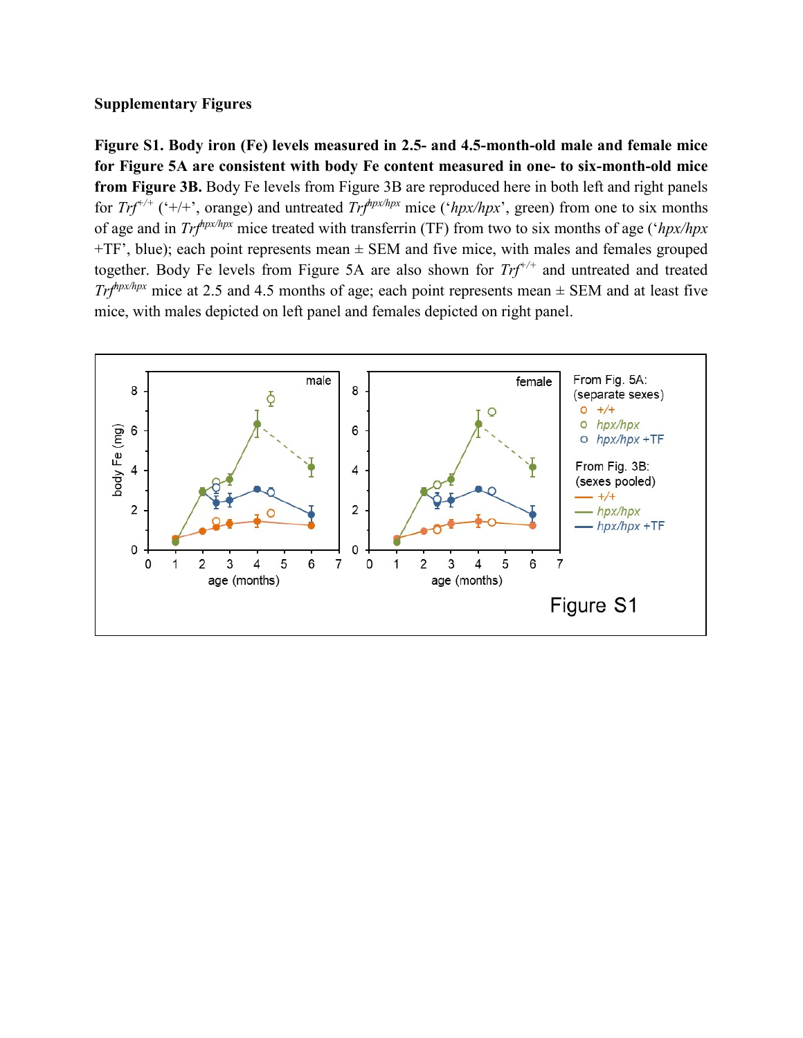# **Supplementary Figures**

**Figure S1. Body iron (Fe) levels measured in 2.5- and 4.5-month-old male and female mice for Figure 5A are consistent with body Fe content measured in one- to six-month-old mice from Figure 3B.** Body Fe levels from Figure 3B are reproduced here in both left and right panels for *Trf*<sup>+/+</sup> ('+/+', orange) and untreated *Trf*<sup>*hpx/hpx*</sup> mice ('*hpx/hpx*', green) from one to six months of age and in *Trfhpx/hpx* mice treated with transferrin (TF) from two to six months of age ('*hpx/hpx*  $+TF$ , blue); each point represents mean  $\pm$  SEM and five mice, with males and females grouped together. Body Fe levels from Figure 5A are also shown for *Trf+/+* and untreated and treated *Tr* $f_{\text{up}}$ <sup> $f_{\text{up}}$ <sup> $f_{\text{up}}$ </sup> mice at 2.5 and 4.5 months of age; each point represents mean  $\pm$  SEM and at least five</sup> mice, with males depicted on left panel and females depicted on right panel.

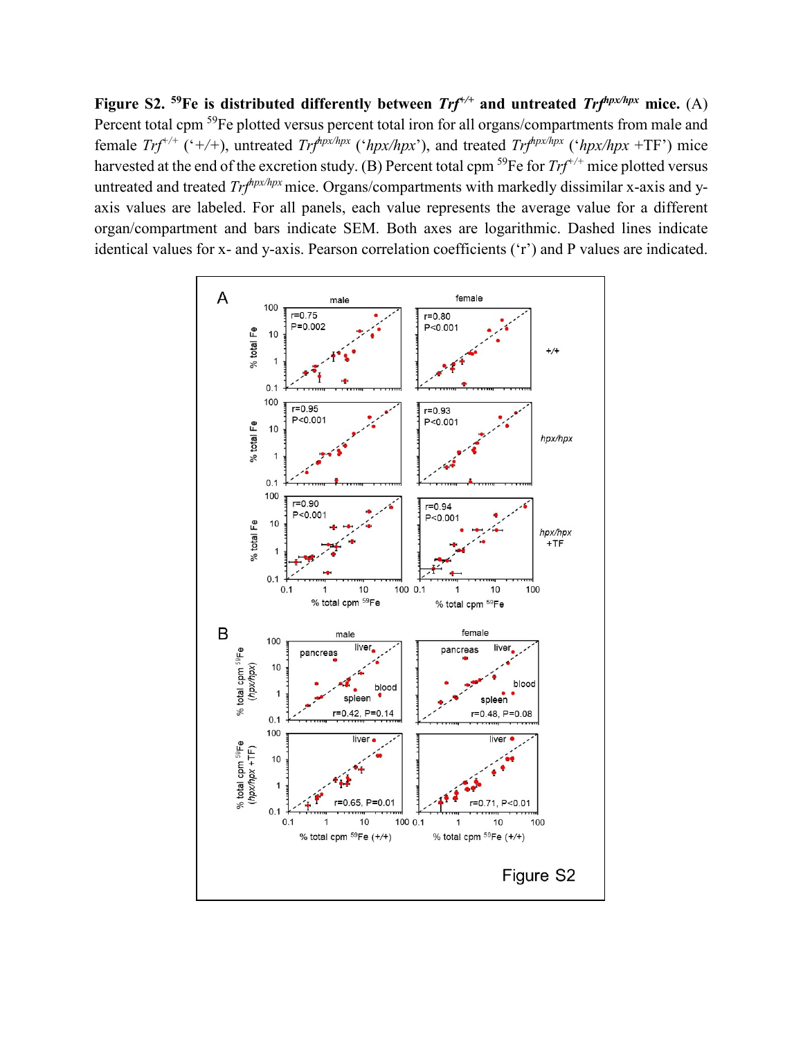**Figure S2. 59Fe is distributed differently between** *Trf+/+* **and untreated** *Trfhpx/hpx* **mice.** (A) Percent total cpm <sup>59</sup>Fe plotted versus percent total iron for all organs/compartments from male and female  $Trf^{+/+}$  ('+/+), untreated  $Trf^{hpx/hpx}$  (' $hpx/hpx$ '), and treated  $Trf^{hpx/hpx}$  (' $hpx/hpx$ +TF') mice harvested at the end of the excretion study. (B) Percent total cpm <sup>59</sup>Fe for *Trf*<sup>+/+</sup> mice plotted versus untreated and treated *Trf<sup>hpx/hpx</sup>* mice. Organs/compartments with markedly dissimilar x-axis and yaxis values are labeled. For all panels, each value represents the average value for a different organ/compartment and bars indicate SEM. Both axes are logarithmic. Dashed lines indicate identical values for x- and y-axis. Pearson correlation coefficients ('r') and P values are indicated.

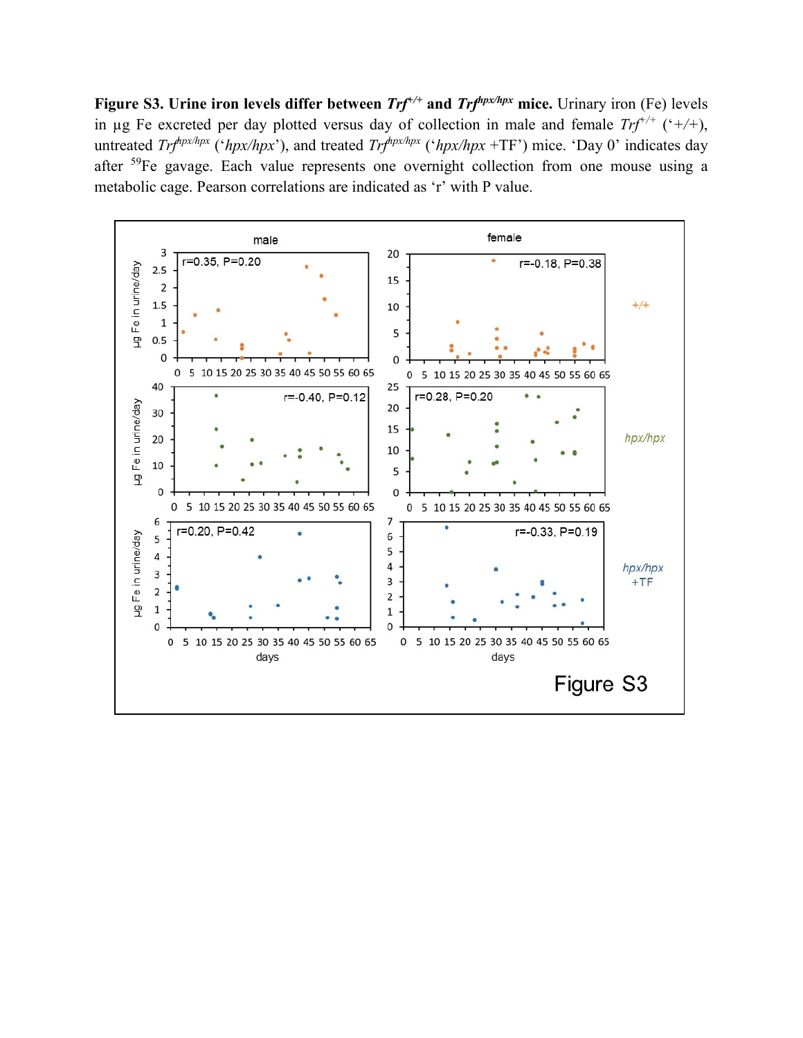**Figure S3. Urine iron levels differ between**  $Trf^{+/-}$  **and**  $Trf^{hpx/hpx}$  **mice. Urinary iron (Fe) levels** in µg Fe excreted per day plotted versus day of collection in male and female  $Trf^{+/+}$  ('+/+), untreated *Trf<sup>hpx/hpx</sup>* ('*hpx/hpx*'), and treated *Trf<sup>hpx/hpx</sup>* ('*hpx/hpx* +TF') mice. 'Day 0' indicates day after <sup>59</sup>Fe gavage. Each value represents one overnight collection from one mouse using a metabolic cage. Pearson correlations are indicated as 'r' with P value.

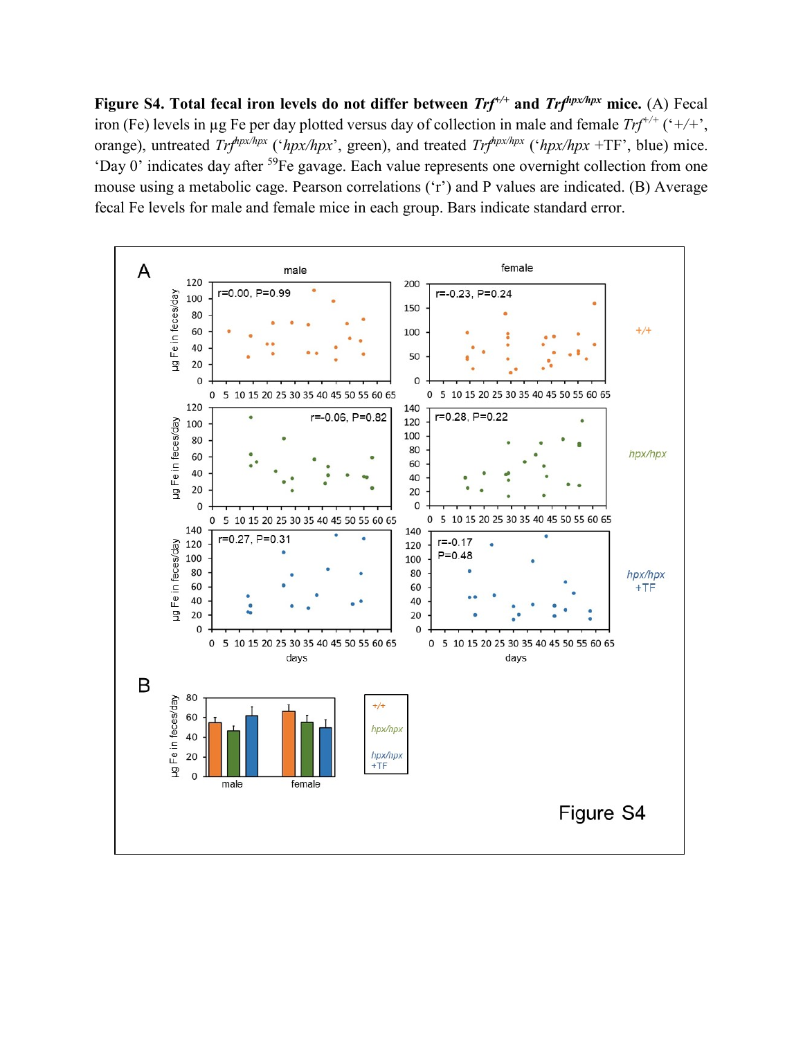**Figure S4. Total fecal iron levels do not differ between** *Trf+/+* **and** *Trfhpx/hpx* **mice.** (A) Fecal iron (Fe) levels in µg Fe per day plotted versus day of collection in male and female *Trf+/+* ('*+/+*', orange), untreated *Trfhpx/hpx* ('*hpx/hpx*', green), and treated *Trfhpx/hpx* ('*hpx/hpx* +TF', blue) mice. 'Day 0' indicates day after 59Fe gavage. Each value represents one overnight collection from one mouse using a metabolic cage. Pearson correlations ('r') and P values are indicated. (B) Average fecal Fe levels for male and female mice in each group. Bars indicate standard error.

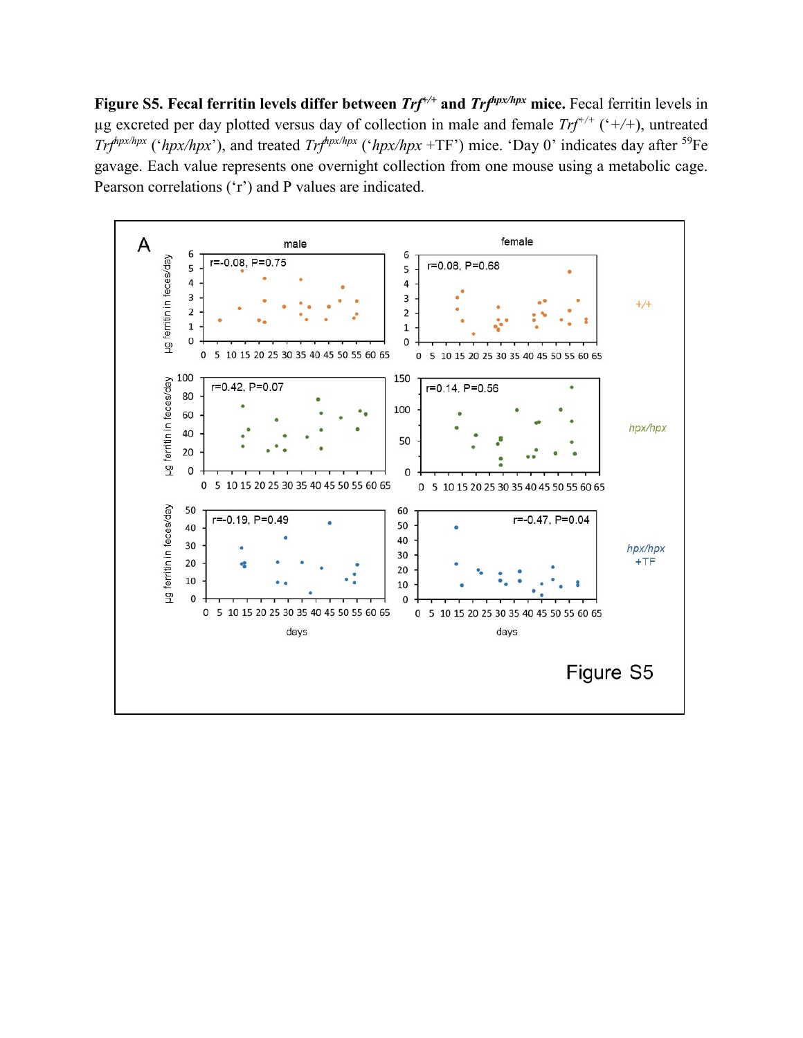**Figure S5. Fecal ferritin levels differ between** *Trf+/+* **and** *Trfhpx/hpx* **mice.** Fecal ferritin levels in µg excreted per day plotted versus day of collection in male and female *Trf+/+* ('*+/+*), untreated *Trf<sup>hpx/hpx</sup>* ('*hpx/hpx*'), and treated *Trf<sup>hpx/hpx</sup>* ('*hpx/hpx* +TF') mice. 'Day 0' indicates day after <sup>59</sup>Fe gavage. Each value represents one overnight collection from one mouse using a metabolic cage. Pearson correlations ('r') and P values are indicated.

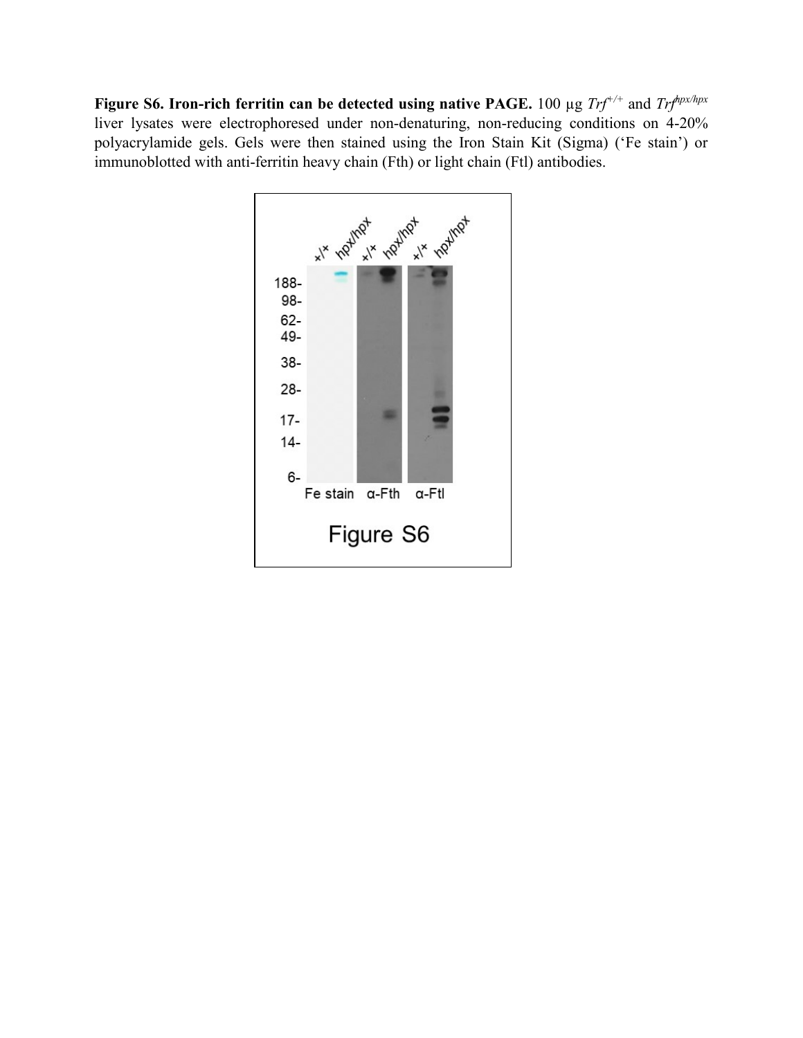**Figure S6. Iron-rich ferritin can be detected using native PAGE.** 100 µg *Trf+/+* and *Trfhpx/hpx* liver lysates were electrophoresed under non-denaturing, non-reducing conditions on 4-20% polyacrylamide gels. Gels were then stained using the Iron Stain Kit (Sigma) ('Fe stain') or immunoblotted with anti-ferritin heavy chain (Fth) or light chain (Ftl) antibodies.